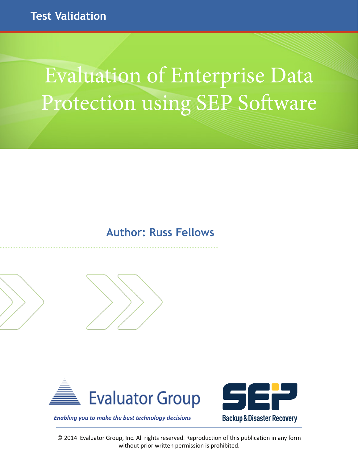# **Test Validation**

# Evaluation of Enterprise Data Protection using SEP Software

### **Author: Russ Fellows**



............................................................................................................................................





*Enabling you to make the best technology decisions*

© 2014 Evaluator Group, Inc. All rights reserved. Reproduction of this publication in any form without prior written permission is prohibited.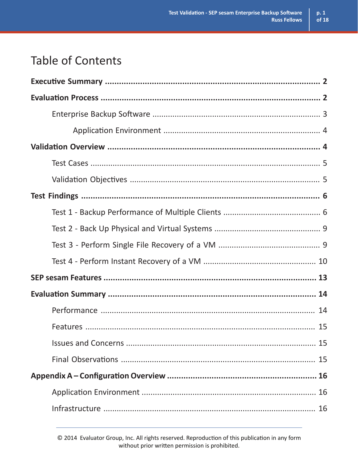$p.1$ 

 $\overline{\text{of }18}$ 

# **Table of Contents**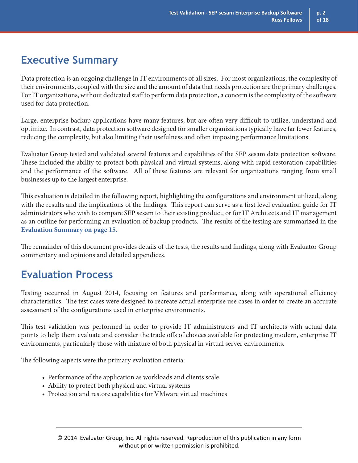### **Executive Summary**

Data protection is an ongoing challenge in IT environments of all sizes. For most organizations, the complexity of their environments, coupled with the size and the amount of data that needs protection are the primary challenges. For IT organizations, without dedicated staff to perform data protection, a concern is the complexity of the software used for data protection.

Large, enterprise backup applications have many features, but are often very difficult to utilize, understand and optimize. In contrast, data protection software designed for smaller organizations typically have far fewer features, reducing the complexity, but also limiting their usefulness and often imposing performance limitations.

Evaluator Group tested and validated several features and capabilities of the SEP sesam data protection software. These included the ability to protect both physical and virtual systems, along with rapid restoration capabilities and the performance of the software. All of these features are relevant for organizations ranging from small businesses up to the largest enterprise.

This evaluation is detailed in the following report, highlighting the configurations and environment utilized, along with the results and the implications of the findings. This report can serve as a first level evaluation guide for IT administrators who wish to compare SEP sesam to their existing product, or for IT Architects and IT management as an outline for performing an evaluation of backup products. The results of the testing are summarized in the **Evaluation Summary on page 15.**

The remainder of this document provides details of the tests, the results and findings, along with Evaluator Group commentary and opinions and detailed appendices.

### **Evaluation Process**

Testing occurred in August 2014, focusing on features and performance, along with operational efficiency characteristics. The test cases were designed to recreate actual enterprise use cases in order to create an accurate assessment of the configurations used in enterprise environments.

This test validation was performed in order to provide IT administrators and IT architects with actual data points to help them evaluate and consider the trade offs of choices available for protecting modern, enterprise IT environments, particularly those with mixture of both physical in virtual server environments.

The following aspects were the primary evaluation criteria:

- Performance of the application as workloads and clients scale
- Ability to protect both physical and virtual systems
- Protection and restore capabilities for VMware virtual machines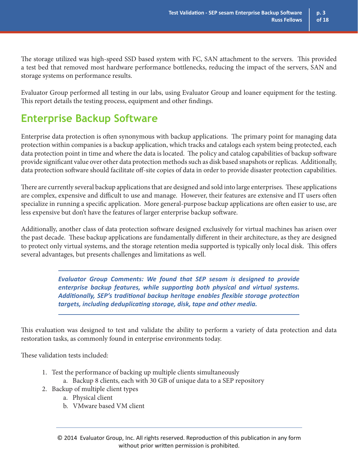The storage utilized was high-speed SSD based system with FC, SAN attachment to the servers. This provided a test bed that removed most hardware performance bottlenecks, reducing the impact of the servers, SAN and storage systems on performance results.

Evaluator Group performed all testing in our labs, using Evaluator Group and loaner equipment for the testing. This report details the testing process, equipment and other findings.

### **Enterprise Backup Software**

Enterprise data protection is often synonymous with backup applications. The primary point for managing data protection within companies is a backup application, which tracks and catalogs each system being protected, each data protection point in time and where the data is located. The policy and catalog capabilities of backup software provide significant value over other data protection methods such as disk based snapshots or replicas. Additionally, data protection software should facilitate off-site copies of data in order to provide disaster protection capabilities.

There are currently several backup applications that are designed and sold into large enterprises. These applications are complex, expensive and difficult to use and manage. However, their features are extensive and IT users often specialize in running a specific application. More general-purpose backup applications are often easier to use, are less expensive but don't have the features of larger enterprise backup software.

Additionally, another class of data protection software designed exclusively for virtual machines has arisen over the past decade. These backup applications are fundamentally different in their architecture, as they are designed to protect only virtual systems, and the storage retention media supported is typically only local disk. This offers several advantages, but presents challenges and limitations as well.

> *Evaluator Group Comments: We found that SEP sesam is designed to provide enterprise backup features, while supporting both physical and virtual systems. Additionally, SEP's traditional backup heritage enables flexible storage protection targets, including deduplicating storage, disk, tape and other media.*

This evaluation was designed to test and validate the ability to perform a variety of data protection and data restoration tasks, as commonly found in enterprise environments today.

These validation tests included:

- 1. Test the performance of backing up multiple clients simultaneously
	- a. Backup 8 clients, each with 30 GB of unique data to a SEP repository
- 2. Backup of multiple client types
	- a. Physical client
	- b. VMware based VM client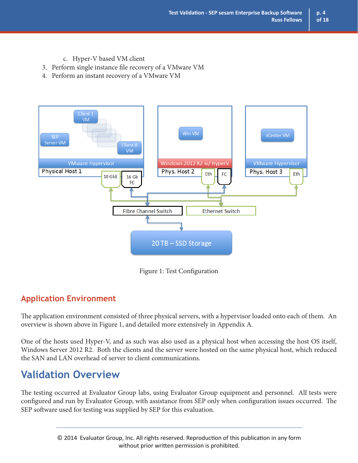- c. Hyper-V based VM client
- 3. Perform single instance file recovery of a VMware VM
- 4. Perform an instant recovery of a VMware VM



Figure 1: Test Configuration

### **Application Environment**

The application environment consisted of three physical servers, with a hypervisor loaded onto each of them. An overview is shown above in Figure 1, and detailed more extensively in Appendix A.

One of the hosts used Hyper-V, and as such was also used as a physical host when accessing the host OS itself, Windows Server 2012 R2. Both the clients and the server were hosted on the same physical host, which reduced the SAN and LAN overhead of server to client communications.

### **Validation Overview**

The testing occurred at Evaluator Group labs, using Evaluator Group equipment and personnel. All tests were configured and run by Evaluator Group, with assistance from SEP only when configuration issues occurred. The SEP software used for testing was supplied by SEP for this evaluation.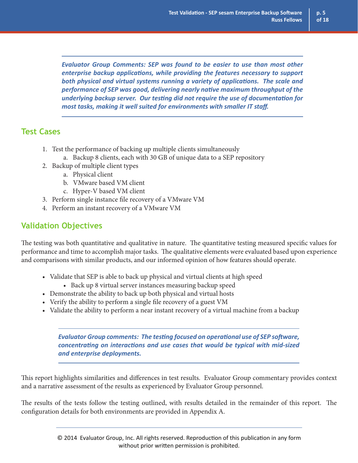*Evaluator Group Comments: SEP was found to be easier to use than most other enterprise backup applications, while providing the features necessary to support both physical and virtual systems running a variety of applications. The scale and performance of SEP was good, delivering nearly native maximum throughput of the underlying backup server. Our testing did not require the use of documentation for most tasks, making it well suited for environments with smaller IT staff.*

### **Test Cases**

- 1. Test the performance of backing up multiple clients simultaneously
	- a. Backup 8 clients, each with 30 GB of unique data to a SEP repository
- 2. Backup of multiple client types
	- a. Physical client
	- b. VMware based VM client
	- c. Hyper-V based VM client
- 3. Perform single instance file recovery of a VMware VM
- 4. Perform an instant recovery of a VMware VM

### **Validation Objectives**

The testing was both quantitative and qualitative in nature. The quantitative testing measured specific values for performance and time to accomplish major tasks. The qualitative elements were evaluated based upon experience and comparisons with similar products, and our informed opinion of how features should operate.

- Validate that SEP is able to back up physical and virtual clients at high speed
	- Back up 8 virtual server instances measuring backup speed
- Demonstrate the ability to back up both physical and virtual hosts
- Verify the ability to perform a single file recovery of a guest VM
- Validate the ability to perform a near instant recovery of a virtual machine from a backup

*Evaluator Group comments: The testing focused on operational use of SEP software, concentrating on interactions and use cases that would be typical with mid-sized and enterprise deployments.* 

This report highlights similarities and differences in test results. Evaluator Group commentary provides context and a narrative assessment of the results as experienced by Evaluator Group personnel.

The results of the tests follow the testing outlined, with results detailed in the remainder of this report. The configuration details for both environments are provided in Appendix A.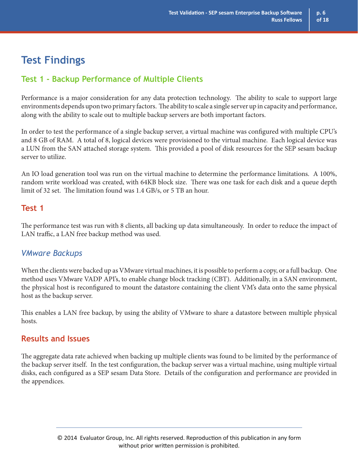### **Test Findings**

### **Test 1 - Backup Performance of Multiple Clients**

Performance is a major consideration for any data protection technology. The ability to scale to support large environments depends upon two primary factors. The ability to scale a single server up in capacity and performance, along with the ability to scale out to multiple backup servers are both important factors.

In order to test the performance of a single backup server, a virtual machine was configured with multiple CPU's and 8 GB of RAM. A total of 8, logical devices were provisioned to the virtual machine. Each logical device was a LUN from the SAN attached storage system. This provided a pool of disk resources for the SEP sesam backup server to utilize.

An IO load generation tool was run on the virtual machine to determine the performance limitations. A 100%, random write workload was created, with 64KB block size. There was one task for each disk and a queue depth limit of 32 set. The limitation found was 1.4 GB/s, or 5 TB an hour.

### **Test 1**

The performance test was run with 8 clients, all backing up data simultaneously. In order to reduce the impact of LAN traffic, a LAN free backup method was used.

### *VMware Backups*

When the clients were backed up as VMware virtual machines, it is possible to perform a copy, or a full backup. One method uses VMware VADP API's, to enable change block tracking (CBT). Additionally, in a SAN environment, the physical host is reconfigured to mount the datastore containing the client VM's data onto the same physical host as the backup server.

This enables a LAN free backup, by using the ability of VMware to share a datastore between multiple physical hosts.

### **Results and Issues**

The aggregate data rate achieved when backing up multiple clients was found to be limited by the performance of the backup server itself. In the test configuration, the backup server was a virtual machine, using multiple virtual disks, each configured as a SEP sesam Data Store. Details of the configuration and performance are provided in the appendices.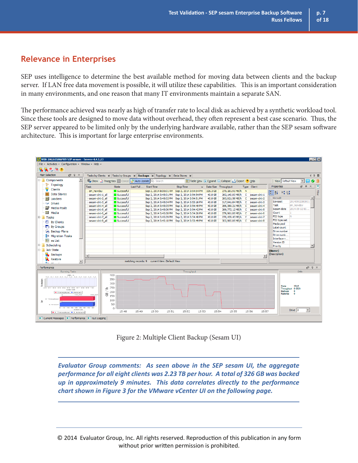### **Relevance in Enterprises**

SEP uses intelligence to determine the best available method for moving data between clients and the backup server. If LAN free data movement is possible, it will utilize these capabilities. This is an important consideration in many environments, and one reason that many IT environments maintain a separate SAN.

The performance achieved was nearly as high of transfer rate to local disk as achieved by a synthetic workload tool. Since these tools are designed to move data without overhead, they often represent a best case scenario. Thus, the SEP server appeared to be limited only by the underlying hardware available, rather than the SEP sesam software architecture. This is important for large enterprise environments.



Figure 2: Multiple Client Backup (Sesam UI)

*Evaluator Group comments: As seen above in the SEP sesam UI, the aggregate performance for all eight clients was 2.23 TB per hour. A total of 326 GB was backed up in approximately 9 minutes. This data correlates directly to the performance chart shown in Figure 3 for the VMware vCenter UI on the following page.* 

© 2014 Evaluator Group, Inc. All rights reserved. Reproduction of this publication in any form without prior written permission is prohibited.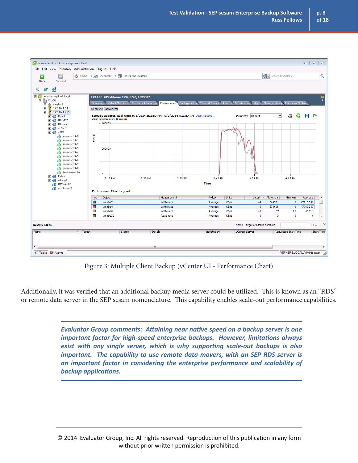

Figure 3: Multiple Client Backup (vCenter UI - Performance Chart)

Additionally, it was verified that an additional backup media server could be utilized. This is known as an "RDS" or remote data server in the SEP sesam nomenclature. This capability enables scale-out performance capabilities.

> *Evaluator Group comments: Attaining near native speed on a backup server is one important factor for high-speed enterprise backups. However, limitations always exist with any single server, which is why supporting scale-out backups is also important. The capability to use remote data movers, with an SEP RDS server is an important factor in considering the enterprise performance and scalability of backup applications.*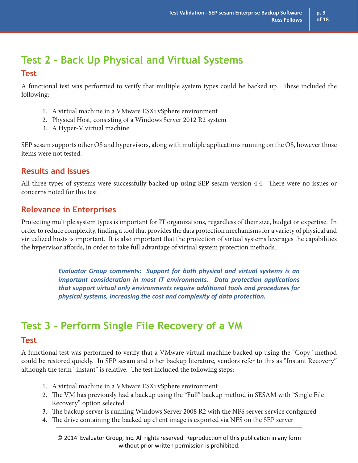### **Test 2 - Back Up Physical and Virtual Systems**

#### **Test**

A functional test was performed to verify that multiple system types could be backed up. These included the following:

- 1. A virtual machine in a VMware ESXi vSphere environment
- 2. Physical Host, consisting of a Windows Server 2012 R2 system
- 3. A Hyper-V virtual machine

SEP sesam supports other OS and hypervisors, along with multiple applications running on the OS, however those items were not tested.

### **Results and Issues**

All three types of systems were successfully backed up using SEP sesam version 4.4. There were no issues or concerns noted for this test.

### **Relevance in Enterprises**

Protecting multiple system types is important for IT organizations, regardless of their size, budget or expertise. In order to reduce complexity, finding a tool that provides the data protection mechanisms for a variety of physical and virtualized hosts is important. It is also important that the protection of virtual systems leverages the capabilities the hypervisor affords, in order to take full advantage of virtual system protection methods.

> *Evaluator Group comments: Support for both physical and virtual systems is an important consideration in most IT environments. Data protection applications that support virtual only environments require additional tools and procedures for physical systems, increasing the cost and complexity of data protection.*

# **Test 3 - Perform Single File Recovery of a VM**

### **Test**

A functional test was performed to verify that a VMware virtual machine backed up using the "Copy" method could be restored quickly. In SEP sesam and other backup literature, vendors refer to this as "Instant Recovery" although the term "instant" is relative. The test included the following steps:

- 1. A virtual machine in a VMware ESXi vSphere environment
- 2. The VM has previously had a backup using the "Full" backup method in SESAM with "Single File Recovery" option selected
- 3. The backup server is running Windows Server 2008 R2 with the NFS server service configured
- 4. The drive containing the backed up client image is exported via NFS on the SEP server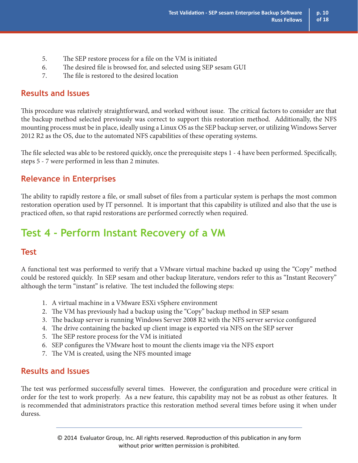- 5. The SEP restore process for a file on the VM is initiated
- 6. The desired file is browsed for, and selected using SEP sesam GUI
- 7. The file is restored to the desired location

### **Results and Issues**

This procedure was relatively straightforward, and worked without issue. The critical factors to consider are that the backup method selected previously was correct to support this restoration method. Additionally, the NFS mounting process must be in place, ideally using a Linux OS as the SEP backup server, or utilizing Windows Server 2012 R2 as the OS, due to the automated NFS capabilities of these operating systems.

The file selected was able to be restored quickly, once the prerequisite steps 1 - 4 have been performed. Specifically, steps 5 - 7 were performed in less than 2 minutes.

### **Relevance in Enterprises**

The ability to rapidly restore a file, or small subset of files from a particular system is perhaps the most common restoration operation used by IT personnel. It is important that this capability is utilized and also that the use is practiced often, so that rapid restorations are performed correctly when required.

### **Test 4 - Perform Instant Recovery of a VM**

### **Test**

A functional test was performed to verify that a VMware virtual machine backed up using the "Copy" method could be restored quickly. In SEP sesam and other backup literature, vendors refer to this as "Instant Recovery" although the term "instant" is relative. The test included the following steps:

- 1. A virtual machine in a VMware ESXi vSphere environment
- 2. The VM has previously had a backup using the "Copy" backup method in SEP sesam
- 3. The backup server is running Windows Server 2008 R2 with the NFS server service configured
- 4. The drive containing the backed up client image is exported via NFS on the SEP server
- 5. The SEP restore process for the VM is initiated
- 6. SEP configures the VMware host to mount the clients image via the NFS export
- 7. The VM is created, using the NFS mounted image

### **Results and Issues**

The test was performed successfully several times. However, the configuration and procedure were critical in order for the test to work properly. As a new feature, this capability may not be as robust as other features. It is recommended that administrators practice this restoration method several times before using it when under duress.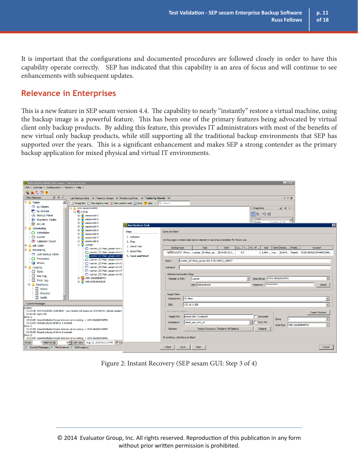It is important that the configurations and documented procedures are followed closely in order to have this capability operate correctly. SEP has indicated that this capability is an area of focus and will continue to see enhancements with subsequent updates.

### **Relevance in Enterprises**

This is a new feature in SEP sesam version 4.4. The capability to nearly "instantly" restore a virtual machine, using the backup image is a powerful feature. This has been one of the primary features being advocated by virtual client only backup products. By adding this feature, this provides IT administrators with most of the benefits of new virtual only backup products, while still supporting all the traditional backup environments that SEP has supported over the years. This is a significant enhancement and makes SEP a strong contender as the primary backup application for mixed physical and virtual IT environments.

| <b>O</b> WIN-2AG605H6PR9 SEP sesam - Server 4.4.1.23                                |                                                                                                                                                           |                                             |                                                                                   |                                              |                                                   |              |     |                                        |           | $ .\ $ o $  \times  $     |                          |                                                 |
|-------------------------------------------------------------------------------------|-----------------------------------------------------------------------------------------------------------------------------------------------------------|---------------------------------------------|-----------------------------------------------------------------------------------|----------------------------------------------|---------------------------------------------------|--------------|-----|----------------------------------------|-----------|---------------------------|--------------------------|-------------------------------------------------|
| File - Activities - Configuration - Window - Help -                                 |                                                                                                                                                           |                                             |                                                                                   |                                              |                                                   |              |     |                                        |           |                           |                          |                                                 |
| 風味も何の                                                                               |                                                                                                                                                           |                                             |                                                                                   |                                              |                                                   |              |     |                                        |           |                           |                          |                                                 |
| <b>Main Selection</b><br>$\Box$ $\Box$                                              | Last Backup State $\  \mathbf{x} \ $ Tasks by Groups $\  \mathbf{x} \ $ Monitoring Drives $\  \mathbf{x} \ $ Tasks by Clients $\  \mathbf{x} \ $<br>4 ♪ 目 |                                             |                                                                                   |                                              |                                                   |              |     |                                        |           |                           |                          |                                                 |
| $\overline{\phantom{a}}$<br><b>E</b> Tasks                                          | Properties I New backup task I New restore task <b>A</b> Print <b>?</b> Help $\Box \, \Box$ Search                                                        |                                             |                                                                                   |                                              |                                                   |              |     |                                        |           |                           |                          |                                                 |
| $\Box$ By Clients                                                                   | E WIN-2AG605H6PR9                                                                                                                                         |                                             |                                                                                   |                                              |                                                   |              |     | Properties                             |           | $\Box$ $\Box$             |                          |                                                 |
| <b>By Groups</b>                                                                    | <b>E-CALL</b><br>⊪️ A↓ ⇒ 단                                                                                                                                |                                             |                                                                                   |                                              |                                                   |              |     |                                        |           |                           |                          |                                                 |
| <b>Backup Plans</b><br>a <sup>3</sup> <sup>a</sup> Migration Tasks                  | sesam-clnt-2<br>围                                                                                                                                         | $\mathbb{H}$ sesam-cint-1<br>$\Box$ Task    |                                                                                   |                                              |                                                   |              |     |                                        |           |                           |                          |                                                 |
| <b>III</b> as List                                                                  | sesam-cint-3<br>田                                                                                                                                         | ⊣<br>Name<br>wranter DC-M                   |                                                                                   |                                              |                                                   |              |     |                                        |           |                           |                          |                                                 |
| <b>E-</b> Scheduling                                                                | sesam-clnt-4<br>由                                                                                                                                         | <b>New Restore Task</b>                     |                                                                                   |                                              |                                                   |              |     |                                        |           |                           |                          | 図                                               |
| C Schedules                                                                         | sesam-dnt-5<br>÷<br>sesam-clnt-6<br>由                                                                                                                     | Save and Start<br><b>Steps</b>              |                                                                                   |                                              |                                                   |              |     |                                        |           |                           |                          |                                                 |
| ⊙ Events                                                                            | sesam-clnt-7<br>由                                                                                                                                         | 1. Welcome                                  |                                                                                   |                                              |                                                   |              |     |                                        |           |                           |                          |                                                 |
| 10 Calendar Sheet                                                                   | sesam-cint-8<br>田                                                                                                                                         | 2. Filter                                   | On this page a restore task can be started or saved as a template for future use. |                                              |                                                   |              |     |                                        |           |                           |                          |                                                 |
| <b>E</b> Job State                                                                  | Ė<br>vcenter                                                                                                                                              | 3. Select Task                              | Backup type                                                                       |                                              | <b>Task</b>                                       | <b>Start</b> | Co  | T   No. of                             | Size      | Client Backu Media        |                          | Saveset                                         |
| <b>Monitoring</b>                                                                   | vcenter DC-Main sesam-clnt-1<br>Venter_DC-Main_sesam-clnt-2                                                                                               | 4. Select Files                             |                                                                                   |                                              | - VITIWAI'C' VMwa vcenter_DC-Main_se 2014-08-13 1 |              | 5 C |                                        |           |                           |                          | 1 2,464 vce 2014-0 Weekly SC20140813150444533@K |
| Last Backup State                                                                   | Venter_DC-Main_sesam-clnt-3                                                                                                                               | 5. Save and Start                           |                                                                                   |                                              |                                                   |              |     |                                        |           |                           |                          |                                                 |
| C) Processes<br><b>Drives</b>                                                       | vcenter DC-Main sesam-clnt-4                                                                                                                              |                                             | Name                                                                              |                                              | vcenter DC-Main sesam-clnt-3-20140813 152827      |              |     |                                        |           |                           |                          |                                                 |
| <b>IE-</b> Logging                                                                  | vcenter DC-Main sesam-clnt-5<br>vcenter_DC-Main_sesam-clnt-6                                                                                              |                                             | Comment                                                                           |                                              |                                                   |              |     |                                        |           |                           |                          |                                                 |
| <b>El</b> State                                                                     | vcenter_DC-Main_sesam-clnt-7                                                                                                                              |                                             |                                                                                   |                                              |                                                   |              |     |                                        |           |                           |                          |                                                 |
| Day Log                                                                             | vSphere Connection Data<br>vcenter_DC-Main_sesam-clnt-8<br>Data Mover WIN-2AG605H6PR9                                                                     |                                             |                                                                                   |                                              |                                                   |              |     |                                        |           |                           |                          |                                                 |
| <b>E</b> Error Log                                                                  | FI-G WIN-2AG605H6PR9<br>WIN-EI5R1FNOR0P<br>南县                                                                                                             |                                             | <b>VCenter or ESX:</b>                                                            |                                              | vcenter                                           |              |     | $\blacktriangledown$                   |           |                           |                          | $\blacktriangledown$                            |
| <b>E</b> Interfaces                                                                 |                                                                                                                                                           |                                             |                                                                                   |                                              | User Administrator                                |              |     | Password                               | ********* |                           |                          | <b>Check</b>                                    |
| <b>图 Alarm</b>                                                                      |                                                                                                                                                           |                                             |                                                                                   |                                              |                                                   |              |     |                                        |           |                           |                          |                                                 |
| ▣<br><b>Disaster</b>                                                                |                                                                                                                                                           | Target Data                                 |                                                                                   |                                              |                                                   |              |     |                                        |           |                           |                          |                                                 |
| <b>Ell</b> Notify<br>▼                                                              |                                                                                                                                                           | Datacenter: DC-Main<br>$\blacktriangledown$ |                                                                                   |                                              |                                                   |              |     |                                        |           |                           |                          |                                                 |
| <b>Current Messages</b>                                                             |                                                                                                                                                           |                                             | 172.16.1.205<br>ESX:                                                              |                                              |                                                   |              |     |                                        |           |                           | $\overline{\phantom{a}}$ |                                                 |
| System:                                                                             | 15:04:48 W004-LICENSE WARNING - your license will expire on 2014-09-03, please contact                                                                    |                                             |                                                                                   |                                              |                                                   |              |     |                                        |           |                           |                          |                                                 |
| 15:15:30 reply=OK                                                                   |                                                                                                                                                           |                                             | <b>NM Restore options</b><br>sesam-clnt-3-restored<br>$\Box$ Overwrite            |                                              |                                                   |              |     |                                        |           | <b>Expert Options</b>     |                          |                                                 |
| Drive 1:<br>15:02:09 SesamMultiplexStream data server is running -> WIN-2AG605H6PR9 |                                                                                                                                                           |                                             | Target VM:<br><b>Drive</b>                                                        |                                              |                                                   |              |     |                                        |           |                           |                          |                                                 |
| 15:02:09 Datastructures of drive 1 created.<br>Drive 2:                             |                                                                                                                                                           |                                             | Datastore:                                                                        |                                              | 3pssd_sep_clnt_10                                 |              |     | $\overline{\phantom{a}}$<br>□ Start VM |           | Interface WIN-2AG605H6PR9 |                          | $\overline{\phantom{a}}$                        |
| 15:02:09 SesamMultiplexStream data server is running -> WIN-2AG605H6PR9             |                                                                                                                                                           | Options:                                    |                                                                                   | <b>Instant Recovery / Restore VM Options</b> |                                                   |              |     | Original                               |           |                           |                          |                                                 |
| 15:02:09 Datastructures of drive 2 created.<br>Drive 3:                             |                                                                                                                                                           |                                             |                                                                                   |                                              |                                                   |              |     |                                        |           |                           |                          |                                                 |
|                                                                                     | To continue, click Save or Start.<br>15:02:09 SesamMultiplexStream data server is running -> WIN-2AG605H6PR9                                              |                                             |                                                                                   |                                              |                                                   |              |     |                                        |           |                           |                          |                                                 |
| $*$ Interval [s]:<br><b>Drives</b>                                                  | 5 Last view: Aug 13, 2014 3:31:27 PM V Cy                                                                                                                 |                                             |                                                                                   |                                              |                                                   |              |     |                                        |           |                           |                          |                                                 |
| Current Messages               Performance           GUI Logging                    |                                                                                                                                                           |                                             | $<$ Back                                                                          | Save                                         | <b>Start</b>                                      |              |     |                                        |           |                           |                          | Cancel                                          |

Figure 2: Instant Recovery (SEP sesam GUI: Step 3 of 4)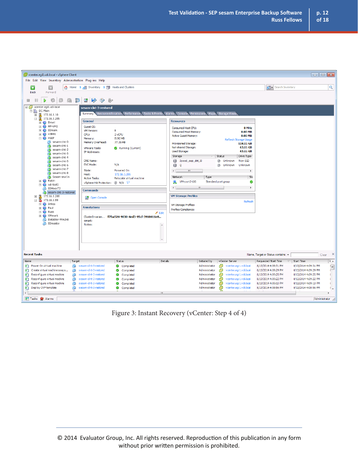| vcenter.egi1.vdi.local - vSphere Client                                                                                                                                                                                                                                            |                                                                                                                                                      |                                                                                                          |                                                                                                                                                                           |                                                                                                                    |                                                                                                                                                                                                          |                                                                                                                                                                      |                                                                                                                                                                                                                                                             |
|------------------------------------------------------------------------------------------------------------------------------------------------------------------------------------------------------------------------------------------------------------------------------------|------------------------------------------------------------------------------------------------------------------------------------------------------|----------------------------------------------------------------------------------------------------------|---------------------------------------------------------------------------------------------------------------------------------------------------------------------------|--------------------------------------------------------------------------------------------------------------------|----------------------------------------------------------------------------------------------------------------------------------------------------------------------------------------------------------|----------------------------------------------------------------------------------------------------------------------------------------------------------------------|-------------------------------------------------------------------------------------------------------------------------------------------------------------------------------------------------------------------------------------------------------------|
| File Edit View Inventory Administration Plug-ins Help                                                                                                                                                                                                                              |                                                                                                                                                      |                                                                                                          |                                                                                                                                                                           |                                                                                                                    |                                                                                                                                                                                                          |                                                                                                                                                                      |                                                                                                                                                                                                                                                             |
| Œ<br>Ð<br><b>Back</b><br>Forward                                                                                                                                                                                                                                                   | A Home D o Inventory D i Hosts and Clusters                                                                                                          |                                                                                                          |                                                                                                                                                                           |                                                                                                                    |                                                                                                                                                                                                          | P Search Inventory                                                                                                                                                   | Q                                                                                                                                                                                                                                                           |
| <b>G</b> 13<br>€<br>3<br>m<br>□                                                                                                                                                                                                                                                    | 너 먹고 모양<br>Cop<br>b,                                                                                                                                 |                                                                                                          |                                                                                                                                                                           |                                                                                                                    |                                                                                                                                                                                                          |                                                                                                                                                                      |                                                                                                                                                                                                                                                             |
| □ <mark>-</mark> vcenter.egi1.vdi.local<br>□ bC-Main<br>Ⅲ 风 172.16.1.10<br>□ 风 172.16.1.205                                                                                                                                                                                        | sesam-clnt-3-restored<br>Summary<br>General                                                                                                          | Resource Allocation Performance Tasks & Events Alarms Console Permissions Maps Storage Views             | <b>Resources</b>                                                                                                                                                          |                                                                                                                    |                                                                                                                                                                                                          |                                                                                                                                                                      |                                                                                                                                                                                                                                                             |
| $\Box$ $\bigodot$ Devel<br>$E$ $\bigoplus$ HP-VM2<br><b>O</b> IOmark<br>$\overline{\mathbf{+}}$<br>nIBM1<br>Θ<br>$\overline{\pm}$<br>$\Box$ $\bigoplus$ nSEP<br>图 sesam-cint-0<br>sesam-cint-1<br>Ð<br>sesam-clnt-2<br>Ð<br>sesam-cint-3<br>Ð<br>sesam-cint-4<br>8<br>sesam-clnt-5 | Guest OS:<br><b>VM Version:</b><br>R<br>CPU:<br>Memory:<br>Memory Overhead:<br><b>VMware Tools:</b><br><b>IP Addresses:</b><br><b>DNS Name:</b>      | 2 vCPU<br>8192 MB<br>77.35 MB<br>Running (Current)                                                       | Consumed Host CPU:<br>Consumed Host Memory:<br><b>Active Guest Memory:</b><br>Provisioned Storage:<br>Not-shared Storage:<br>Used Storage:<br>Storage<br>3pssd_sep_dnt_10 |                                                                                                                    | 0 MHz<br>0.00 MB<br>0.00 MB<br>Refresh Storage Usage<br>118.11 GB<br>63.11 GB<br>63.11 GB<br>Drive Type<br>Status<br>Non-SSD<br>(?) Unknown                                                              |                                                                                                                                                                      |                                                                                                                                                                                                                                                             |
| sesam-cint-6<br>sesam-cint-7<br>Æ.<br>sesam-cint-8<br>Sesam-srvr1n<br>$\boxplus$ $\bigoplus$ Rabin<br>E O<br>vdi-test1<br>Ha IOMwinT2                                                                                                                                              | <b>EVC Mode:</b><br>State:<br>Host:<br><b>Active Tasks:</b><br>vSphere HA Protection: 2 N/A<br><b>Commands</b>                                       | N/A<br>Powered On<br>172.16.1.205<br>Relocate virtual machine                                            | 目<br>$\circ$<br>$\leftarrow$<br>m<br>Network<br>ഉ<br>VM-port2-10G<br>$\overline{4}$                                                                                       | Type<br>m.                                                                                                         | Unknown<br>Unknown<br>(2)<br>Standard port group                                                                                                                                                         | $\mathbb{R}$<br>Sta<br>●<br>b.                                                                                                                                       |                                                                                                                                                                                                                                                             |
| Sesam-cint-3-restored<br>172.16.1.208<br>Ā<br>$\overline{\mathbf{t}}$<br>172.16.1.99<br>$\Box$<br>$\Box$ $\Box$ Infras<br>$E$ $\bigodot$ Paul<br><b>⊞ →</b> Russ                                                                                                                   | Open Console<br><b>Annotations</b>                                                                                                                   | $\ell$ Edit                                                                                              | <b>VM Storage Profiles</b><br>VM Storage Profiles:<br>Profiles Compliance:                                                                                                |                                                                                                                    | Refresh                                                                                                                                                                                                  |                                                                                                                                                                      |                                                                                                                                                                                                                                                             |
| $\mathbb{E}$ $\Theta$ VM mark<br>DataStor-Win2k8<br>凾<br><b>h</b> IOmaster                                                                                                                                                                                                         | iomark:<br>Notes:                                                                                                                                    | ClusterInvarian ff7ba524-9030-4ed3-95cf-3910411e8                                                        | $\blacktriangle$                                                                                                                                                          |                                                                                                                    |                                                                                                                                                                                                          |                                                                                                                                                                      |                                                                                                                                                                                                                                                             |
| <b>Recent Tasks</b>                                                                                                                                                                                                                                                                |                                                                                                                                                      |                                                                                                          |                                                                                                                                                                           |                                                                                                                    |                                                                                                                                                                                                          | Name, Target or Status contains: -                                                                                                                                   | $\times$<br>Clear                                                                                                                                                                                                                                           |
| Name<br>Target<br>তী<br>Power On virtual machine<br>松<br>喦<br>Create virtual machine snaps<br>ท<br>働<br>Reconfigure virtual machine<br>ধী<br>Reconfigure virtual machine<br>⊕<br>ท<br>喦<br>Reconfigure virtual machine<br>松<br>Deploy OVF template<br>喦                            | 图 sesam-cint-3-restored<br>sesam-clnt-3-restored<br>sesam-clnt-3-restored<br>sesam-clnt-3-restored<br>sesam-clnt-3-restored<br>sesam-clnt-3-restored | Status<br>Completed<br>◙<br>Completed<br>◙<br>Completed<br>◉<br>Completed<br>◙<br>Completed<br>Completed | Details                                                                                                                                                                   | Initiated by<br>Administrator<br>Administrator<br>Administrator<br>Administrator<br>Administrator<br>Administrator | vCenter Server<br>æ<br>vcenter.egi1.vdi.local<br>æ<br>vcenter.egi1.vdi.local<br>æ<br>vcenter.egi1.vdi.local<br>æ<br>vcenter.egi1.vdi.local<br>æ<br>vcenter.egi1.vdi.local<br>ø<br>vcenter.egi1.vdi.local | Requested Start Time<br>8/13/2014 4:09:31 PM<br>8/13/2014 4:09:29 PM<br>8/13/2014 4:09:25 PM<br>8/13/2014 4:09:22 PM<br>8/13/2014 4:09:13 PM<br>8/13/2014 4:08:56 PM | $\sqrt{4}$<br>$\overline{\nabla}$<br>Start Time<br>8/13/2014 4:09:31 PM<br>$\sum_{k=1}^{\infty}$<br>8/13/2014 4:09:29 PM<br>8/13/2014 4:09:25 PM<br>ŧ<br>8/13/2014 4:09:22 PM<br>ŧ<br>8/13/2014 4:09:13 PM<br>ŧ<br>8/13/2014 4:08:56 PM<br>$\epsilon_{\pm}$ |
| Tasks Of Alarms                                                                                                                                                                                                                                                                    |                                                                                                                                                      |                                                                                                          | m.                                                                                                                                                                        |                                                                                                                    |                                                                                                                                                                                                          |                                                                                                                                                                      | Administrator                                                                                                                                                                                                                                               |

Figure 3: Instant Recovery (vCenter: Step 4 of 4)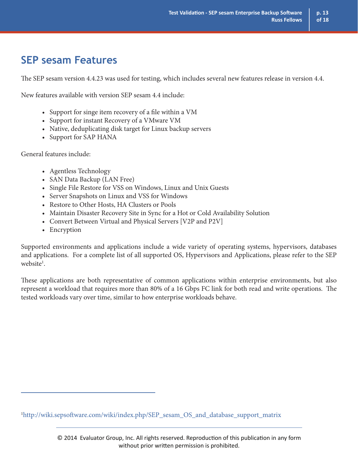### **SEP sesam Features**

The SEP sesam version 4.4.23 was used for testing, which includes several new features release in version 4.4.

New features available with version SEP sesam 4.4 include:

- Support for singe item recovery of a file within a VM
- Support for instant Recovery of a VMware VM
- Native, deduplicating disk target for Linux backup servers
- Support for SAP HANA

General features include:

- Agentless Technology
- SAN Data Backup (LAN Free)
- Single File Restore for VSS on Windows, Linux and Unix Guests
- Server Snapshots on Linux and VSS for Windows
- Restore to Other Hosts, HA Clusters or Pools
- Maintain Disaster Recovery Site in Sync for a Hot or Cold Availability Solution
- Convert Between Virtual and Physical Servers [V2P and P2V]
- Encryption

Supported environments and applications include a wide variety of operating systems, hypervisors, databases and applications. For a complete list of all supported OS, Hypervisors and Applications, please refer to the SEP website<sup>1</sup>.

These applications are both representative of common applications within enterprise environments, but also represent a workload that requires more than 80% of a 16 Gbps FC link for both read and write operations. The tested workloads vary over time, similar to how enterprise workloads behave.

1 http://wiki.sepsoftware.com/wiki/index.php/SEP\_sesam\_OS\_and\_database\_support\_matrix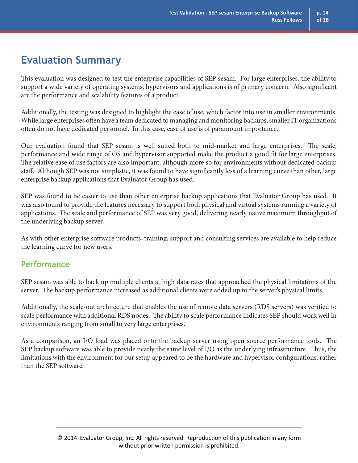### **Evaluation Summary**

This evaluation was designed to test the enterprise capabilities of SEP sesam. For large enterprises, the ability to support a wide variety of operating systems, hypervisors and applications is of primary concern. Also significant are the performance and scalability features of a product.

Additionally, the testing was designed to highlight the ease of use, which factor into use in smaller environments. While large enterprises often have a team dedicated to managing and monitoring backups, smaller IT organizations often do not have dedicated personnel. In this case, ease of use is of paramount importance.

Our evaluation found that SEP sesam is well suited both to mid-market and large enterprises. The scale, performance and wide range of OS and hypervisor supported make the product a good fit for large enterprises. The relative ease of use factors are also important, although more so for environments without dedicated backup staff. Although SEP was not simplistic, it was found to have significantly less of a learning curve than other, large enterprise backup applications that Evaluator Group has used.

SEP was found to be easier to use than other enterprise backup applications that Evaluator Group has used. It was also found to provide the features necessary to support both physical and virtual systems running a variety of applications. The scale and performance of SEP was very good, delivering nearly native maximum throughput of the underlying backup server.

As with other enterprise software products, training, support and consulting services are available to help reduce the learning curve for new users.

### **Performance**

SEP sesam was able to back up multiple clients at high data rates that approached the physical limitations of the server. The backup performance increased as additional clients were added up to the server's physical limits.

Additionally, the scale-out architecture that enables the use of remote data servers (RDS servers) was verified to scale performance with additional RDS nodes. The ability to scale performance indicates SEP should work well in environments ranging from small to very large enterprises.

As a comparison, an I/O load was placed onto the backup server using open source performance tools. The SEP backup software was able to provide nearly the same level of I/O as the underlying infrastructure. Thus, the limitations with the environment for our setup appeared to be the hardware and hypervisor configurations, rather than the SEP software.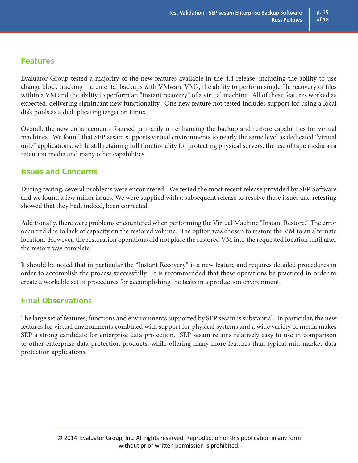### **Features**

Evaluator Group tested a majority of the new features available in the 4.4 release, including the ability to use change block tracking incremental backups with VMware VM's, the ability to perform single file recovery of files within a VM and the ability to perform an "instant recovery" of a virtual machine. All of these features worked as expected, delivering significant new functionality. One new feature not tested includes support for using a local disk pools as a deduplicating target on Linux.

Overall, the new enhancements focused primarily on enhancing the backup and restore capabilities for virtual machines. We found that SEP sesam supports virtual environments to nearly the same level as dedicated "virtual only" applications, while still retaining full functionality for protecting physical servers, the use of tape media as a retention media and many other capabilities.

### **Issues and Concerns**

During testing, several problems were encountered. We tested the most recent release provided by SEP Software and we found a few minor issues. We were supplied with a subsequent release to resolve these issues and retesting showed that they had, indeed, been corrected.

Additionally, there were problems encountered when performing the Virtual Machine "Instant Restore." The error occurred due to lack of capacity on the restored volume. The option was chosen to restore the VM to an alternate location. However, the restoration operations did not place the restored VM into the requested location until after the restore was complete.

It should be noted that in particular the "Instant Recovery" is a new feature and requires detailed procedures in order to accomplish the process successfully. It is recommended that these operations be practiced in order to create a workable set of procedures for accomplishing the tasks in a production environment.

### **Final Observations**

The large set of features, functions and environments supported by SEP sesam is substantial. In particular, the new features for virtual environments combined with support for physical systems and a wide variety of media makes SEP a strong candidate for enterprise data protection. SEP sesam retains relatively easy to use in comparison to other enterprise data protection products, while offering many more features than typical mid-market data protection applications.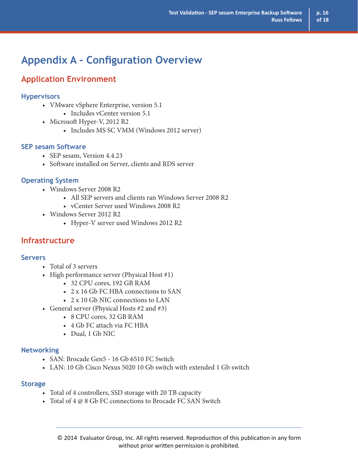### **Appendix A - Configuration Overview**

### **Application Environment**

#### **Hypervisors**

- VMware vSphere Enterprise, version 5.1
	- Includes vCenter version 5.1
- Microsoft Hyper-V, 2012 R2
	- Includes MS SC VMM (Windows 2012 server)

#### **SEP sesam Software**

- SEP sesam, Version 4.4.23
- Software installed on Server, clients and RDS server

#### **Operating System**

- Windows Server 2008 R2
	- All SEP servers and clients ran Windows Server 2008 R2
	- vCenter Server used Windows 2008 R2
- Windows Server 2012 R2
	- Hyper-V server used Windows 2012 R2

### **Infrastructure**

#### **Servers**

- Total of 3 servers
- High performance server (Physical Host #1)
	- 32 CPU cores, 192 GB RAM
	- 2 x 16 Gb FC HBA connections to SAN
	- 2 x 10 Gb NIC connections to LAN
- General server (Physical Hosts #2 and #3)
	- 8 CPU cores, 32 GB RAM
	- 4 Gb FC attach via FC HBA
	- Dual, 1 Gb NIC

#### **Networking**

- SAN: Brocade Gen5 16 Gb 6510 FC Switch
- LAN: 10 Gb Cisco Nexus 5020 10 Gb switch with extended 1 Gb switch

#### **Storage**

- Total of 4 controllers, SSD storage with 20 TB capacity
- Total of 4 @ 8 Gb FC connections to Brocade FC SAN Switch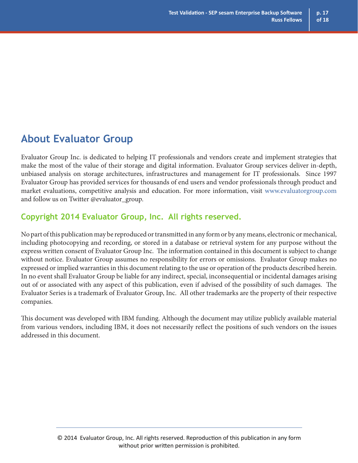### **About Evaluator Group**

Evaluator Group Inc. is dedicated to helping IT professionals and vendors create and implement strategies that make the most of the value of their storage and digital information. Evaluator Group services deliver in-depth, unbiased analysis on storage architectures, infrastructures and management for IT professionals. Since 1997 Evaluator Group has provided services for thousands of end users and vendor professionals through product and market evaluations, competitive analysis and education. For more information, visit www.evaluatorgroup.com and follow us on Twitter @evaluator\_group.

### **Copyright 2014 Evaluator Group, Inc. All rights reserved.**

No part of this publication may be reproduced or transmitted in any form or by any means, electronic or mechanical, including photocopying and recording, or stored in a database or retrieval system for any purpose without the express written consent of Evaluator Group Inc. The information contained in this document is subject to change without notice. Evaluator Group assumes no responsibility for errors or omissions. Evaluator Group makes no expressed or implied warranties in this document relating to the use or operation of the products described herein. In no event shall Evaluator Group be liable for any indirect, special, inconsequential or incidental damages arising out of or associated with any aspect of this publication, even if advised of the possibility of such damages. The Evaluator Series is a trademark of Evaluator Group, Inc. All other trademarks are the property of their respective companies.

This document was developed with IBM funding. Although the document may utilize publicly available material from various vendors, including IBM, it does not necessarily reflect the positions of such vendors on the issues addressed in this document.